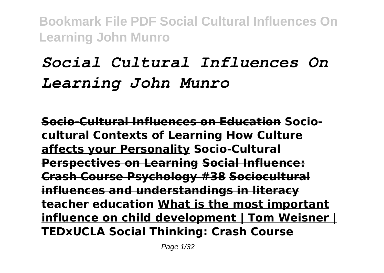# *Social Cultural Influences On Learning John Munro*

**Socio-Cultural Influences on Education Sociocultural Contexts of Learning How Culture affects your Personality Socio-Cultural Perspectives on Learning Social Influence: Crash Course Psychology #38 Sociocultural influences and understandings in literacy teacher education What is the most important influence on child development | Tom Weisner | TEDxUCLA Social Thinking: Crash Course**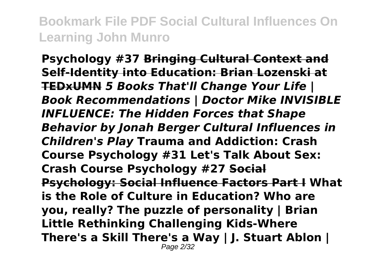**Psychology #37 Bringing Cultural Context and Self-Identity into Education: Brian Lozenski at TEDxUMN** *5 Books That'll Change Your Life | Book Recommendations | Doctor Mike INVISIBLE INFLUENCE: The Hidden Forces that Shape Behavior by Jonah Berger Cultural Influences in Children's Play* **Trauma and Addiction: Crash Course Psychology #31 Let's Talk About Sex: Crash Course Psychology #27 Social Psychology: Social Influence Factors Part I What is the Role of Culture in Education? Who are you, really? The puzzle of personality | Brian Little Rethinking Challenging Kids-Where There's a Skill There's a Way | J. Stuart Ablon |** Page 2/32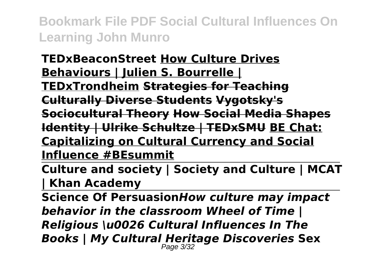**TEDxBeaconStreet How Culture Drives Behaviours | Julien S. Bourrelle | TEDxTrondheim Strategies for Teaching Culturally Diverse Students Vygotsky's Sociocultural Theory How Social Media Shapes Identity | Ulrike Schultze | TEDxSMU BE Chat: Capitalizing on Cultural Currency and Social Influence #BEsummit**

**Culture and society | Society and Culture | MCAT | Khan Academy**

**Science Of Persuasion***How culture may impact behavior in the classroom Wheel of Time | Religious \u0026 Cultural Influences In The Books | My Cultural Heritage Discoveries* **Sex** Page 3/32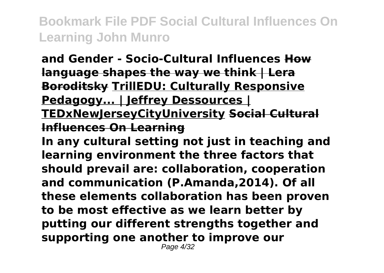**and Gender - Socio-Cultural Influences How language shapes the way we think | Lera Boroditsky TrillEDU: Culturally Responsive Pedagogy... | Jeffrey Dessources | TEDxNewJerseyCityUniversity Social Cultural Influences On Learning**

**In any cultural setting not just in teaching and learning environment the three factors that should prevail are: collaboration, cooperation and communication (P.Amanda,2014). Of all these elements collaboration has been proven to be most effective as we learn better by putting our different strengths together and supporting one another to improve our**

Page 4/32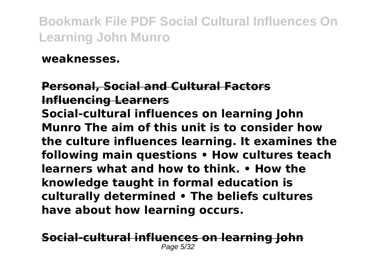**weaknesses.**

**Personal, Social and Cultural Factors Influencing Learners Social-cultural influences on learning John Munro The aim of this unit is to consider how the culture influences learning. It examines the following main questions • How cultures teach learners what and how to think. • How the knowledge taught in formal education is culturally determined • The beliefs cultures have about how learning occurs.**

**Social-cultural influences on learning John** Page 5/32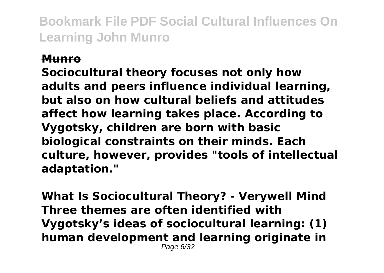#### **Munro**

**Sociocultural theory focuses not only how adults and peers influence individual learning, but also on how cultural beliefs and attitudes affect how learning takes place. According to Vygotsky, children are born with basic biological constraints on their minds. Each culture, however, provides "tools of intellectual adaptation."**

**What Is Sociocultural Theory? - Verywell Mind Three themes are often identified with Vygotsky's ideas of sociocultural learning: (1) human development and learning originate in** Page 6/32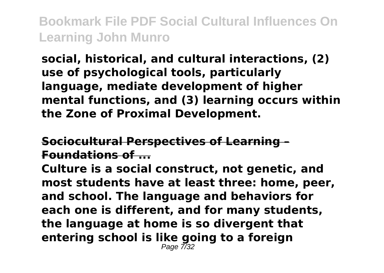**social, historical, and cultural interactions, (2) use of psychological tools, particularly language, mediate development of higher mental functions, and (3) learning occurs within the Zone of Proximal Development.**

### **Sociocultural Perspectives of Learning – Foundations of ...**

**Culture is a social construct, not genetic, and most students have at least three: home, peer, and school. The language and behaviors for each one is different, and for many students, the language at home is so divergent that entering school is like going to a foreign** Page 7/32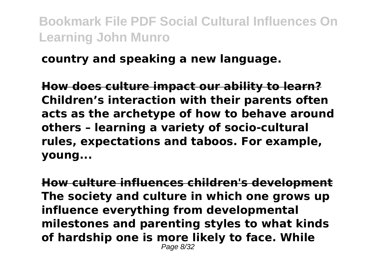#### **country and speaking a new language.**

**How does culture impact our ability to learn? Children's interaction with their parents often acts as the archetype of how to behave around others – learning a variety of socio-cultural rules, expectations and taboos. For example, young...**

**How culture influences children's development The society and culture in which one grows up influence everything from developmental milestones and parenting styles to what kinds of hardship one is more likely to face. While** Page 8/32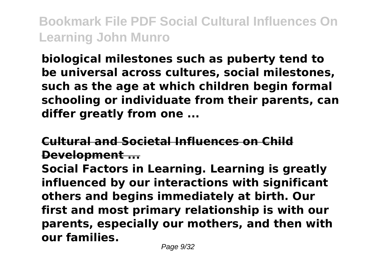**biological milestones such as puberty tend to be universal across cultures, social milestones, such as the age at which children begin formal schooling or individuate from their parents, can differ greatly from one ...**

## **Cultural and Societal Influences on Child Development ...**

**Social Factors in Learning. Learning is greatly influenced by our interactions with significant others and begins immediately at birth. Our first and most primary relationship is with our parents, especially our mothers, and then with our families.**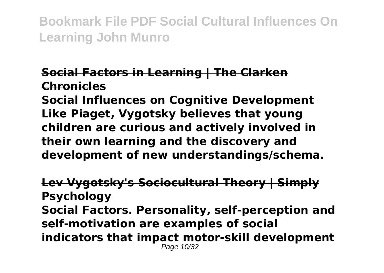### **Social Factors in Learning | The Clarken Chronicles**

**Social Influences on Cognitive Development Like Piaget, Vygotsky believes that young children are curious and actively involved in their own learning and the discovery and development of new understandings/schema.**

**Lev Vygotsky's Sociocultural Theory | Simply Psychology Social Factors. Personality, self-perception and self-motivation are examples of social indicators that impact motor-skill development** Page 10/32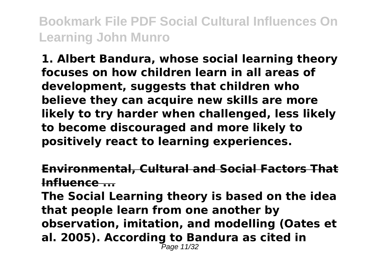**1. Albert Bandura, whose social learning theory focuses on how children learn in all areas of development, suggests that children who believe they can acquire new skills are more likely to try harder when challenged, less likely to become discouraged and more likely to positively react to learning experiences.**

#### **Environmental, Cultural and Social Factors That Influence ...**

**The Social Learning theory is based on the idea that people learn from one another by observation, imitation, and modelling (Oates et al. 2005). According to Bandura as cited in** Page 11/32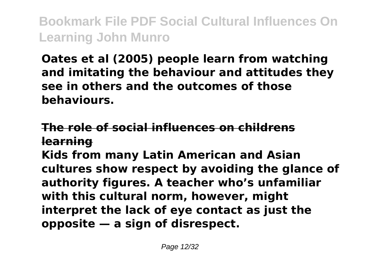**Oates et al (2005) people learn from watching and imitating the behaviour and attitudes they see in others and the outcomes of those behaviours.**

# **The role of social influences on childrens learning**

**Kids from many Latin American and Asian cultures show respect by avoiding the glance of authority figures. A teacher who's unfamiliar with this cultural norm, however, might interpret the lack of eye contact as just the opposite — a sign of disrespect.**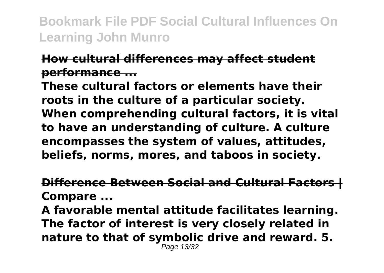#### **How cultural differences may affect student performance ...**

**These cultural factors or elements have their roots in the culture of a particular society. When comprehending cultural factors, it is vital to have an understanding of culture. A culture encompasses the system of values, attitudes, beliefs, norms, mores, and taboos in society.**

#### **Difference Between Social and Cultural Factors | Compare ...**

**A favorable mental attitude facilitates learning. The factor of interest is very closely related in nature to that of symbolic drive and reward. 5.** Page 13/32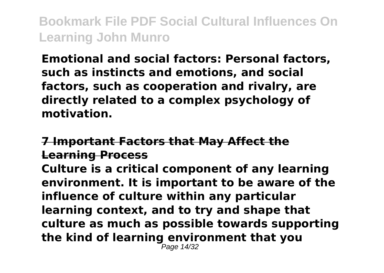**Emotional and social factors: Personal factors, such as instincts and emotions, and social factors, such as cooperation and rivalry, are directly related to a complex psychology of motivation.**

### **7 Important Factors that May Affect the Learning Process**

**Culture is a critical component of any learning environment. It is important to be aware of the influence of culture within any particular learning context, and to try and shape that culture as much as possible towards supporting the kind of learning environment that you** Page 14/32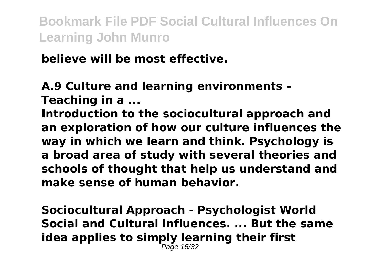### **believe will be most effective.**

### **A.9 Culture and learning environments – Teaching in a ...**

**Introduction to the sociocultural approach and an exploration of how our culture influences the way in which we learn and think. Psychology is a broad area of study with several theories and schools of thought that help us understand and make sense of human behavior.**

**Sociocultural Approach - Psychologist World Social and Cultural Influences. ... But the same idea applies to simply learning their first** Page 15/32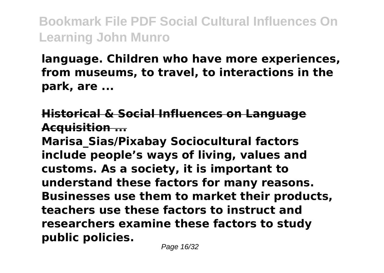**language. Children who have more experiences, from museums, to travel, to interactions in the park, are ...**

### **Historical & Social Influences on Language Acquisition ...**

**Marisa\_Sias/Pixabay Sociocultural factors include people's ways of living, values and customs. As a society, it is important to understand these factors for many reasons. Businesses use them to market their products, teachers use these factors to instruct and researchers examine these factors to study public policies.**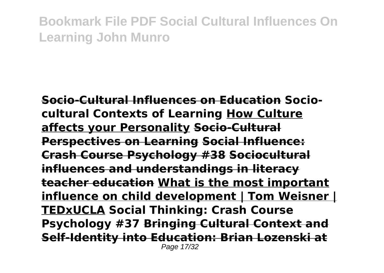**Socio-Cultural Influences on Education Sociocultural Contexts of Learning How Culture affects your Personality Socio-Cultural Perspectives on Learning Social Influence: Crash Course Psychology #38 Sociocultural influences and understandings in literacy teacher education What is the most important influence on child development | Tom Weisner | TEDxUCLA Social Thinking: Crash Course Psychology #37 Bringing Cultural Context and Self-Identity into Education: Brian Lozenski at** Page 17/32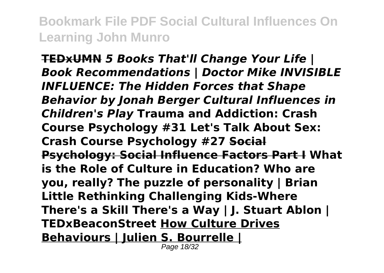**TEDxUMN** *5 Books That'll Change Your Life | Book Recommendations | Doctor Mike INVISIBLE INFLUENCE: The Hidden Forces that Shape Behavior by Jonah Berger Cultural Influences in Children's Play* **Trauma and Addiction: Crash Course Psychology #31 Let's Talk About Sex: Crash Course Psychology #27 Social Psychology: Social Influence Factors Part I What is the Role of Culture in Education? Who are you, really? The puzzle of personality | Brian Little Rethinking Challenging Kids-Where There's a Skill There's a Way | J. Stuart Ablon | TEDxBeaconStreet How Culture Drives Behaviours | Julien S. Bourrelle |**

Page 18/32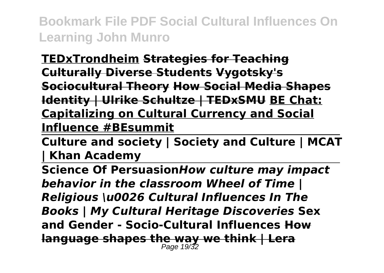**TEDxTrondheim Strategies for Teaching Culturally Diverse Students Vygotsky's Sociocultural Theory How Social Media Shapes Identity | Ulrike Schultze | TEDxSMU BE Chat: Capitalizing on Cultural Currency and Social Influence #BEsummit**

**Culture and society | Society and Culture | MCAT | Khan Academy**

**Science Of Persuasion***How culture may impact behavior in the classroom Wheel of Time | Religious \u0026 Cultural Influences In The Books | My Cultural Heritage Discoveries* **Sex and Gender - Socio-Cultural Influences How language shapes the way we think | Lera** Page 19/32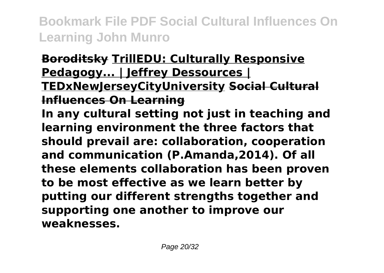**Boroditsky TrillEDU: Culturally Responsive Pedagogy... | Jeffrey Dessources | TEDxNewJerseyCityUniversity Social Cultural Influences On Learning In any cultural setting not just in teaching and learning environment the three factors that should prevail are: collaboration, cooperation and communication (P.Amanda,2014). Of all these elements collaboration has been proven to be most effective as we learn better by putting our different strengths together and supporting one another to improve our weaknesses.**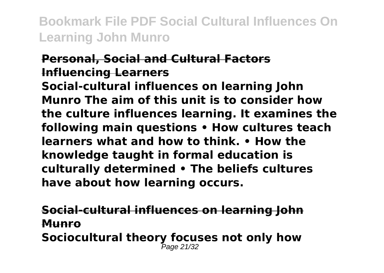### **Personal, Social and Cultural Factors Influencing Learners**

**Social-cultural influences on learning John Munro The aim of this unit is to consider how the culture influences learning. It examines the following main questions • How cultures teach learners what and how to think. • How the knowledge taught in formal education is culturally determined • The beliefs cultures have about how learning occurs.**

**Social-cultural influences on learning John Munro Sociocultural theory focuses not only how Page 21/32**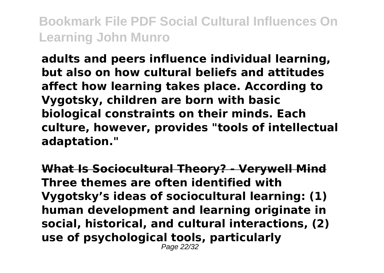**adults and peers influence individual learning, but also on how cultural beliefs and attitudes affect how learning takes place. According to Vygotsky, children are born with basic biological constraints on their minds. Each culture, however, provides "tools of intellectual adaptation."**

**What Is Sociocultural Theory? - Verywell Mind Three themes are often identified with Vygotsky's ideas of sociocultural learning: (1) human development and learning originate in social, historical, and cultural interactions, (2) use of psychological tools, particularly** Page 22/32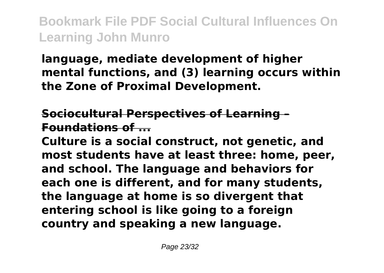# **language, mediate development of higher mental functions, and (3) learning occurs within the Zone of Proximal Development.**

## **Sociocultural Perspectives of Learning – Foundations of ...**

**Culture is a social construct, not genetic, and most students have at least three: home, peer, and school. The language and behaviors for each one is different, and for many students, the language at home is so divergent that entering school is like going to a foreign country and speaking a new language.**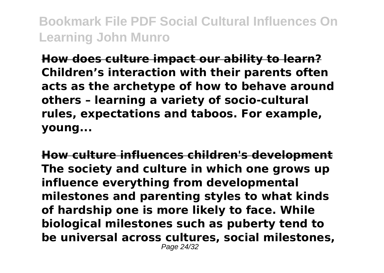**How does culture impact our ability to learn? Children's interaction with their parents often acts as the archetype of how to behave around others – learning a variety of socio-cultural rules, expectations and taboos. For example, young...**

**How culture influences children's development The society and culture in which one grows up influence everything from developmental milestones and parenting styles to what kinds of hardship one is more likely to face. While biological milestones such as puberty tend to be universal across cultures, social milestones,** Page 24/32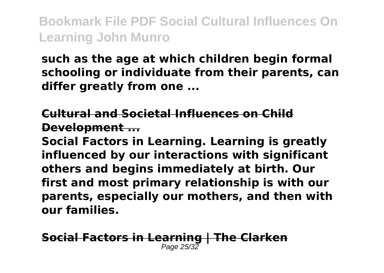**such as the age at which children begin formal schooling or individuate from their parents, can differ greatly from one ...**

**Cultural and Societal Influences on Child Development ...**

**Social Factors in Learning. Learning is greatly influenced by our interactions with significant others and begins immediately at birth. Our first and most primary relationship is with our parents, especially our mothers, and then with our families.**

**Social Factors in Learning | The Clarken** Page 25/32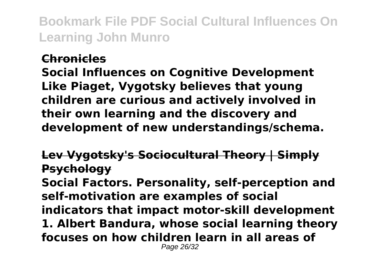#### **Chronicles**

**Social Influences on Cognitive Development Like Piaget, Vygotsky believes that young children are curious and actively involved in their own learning and the discovery and development of new understandings/schema.**

**Lev Vygotsky's Sociocultural Theory | Simply Psychology**

**Social Factors. Personality, self-perception and self-motivation are examples of social indicators that impact motor-skill development 1. Albert Bandura, whose social learning theory focuses on how children learn in all areas of** Page 26/32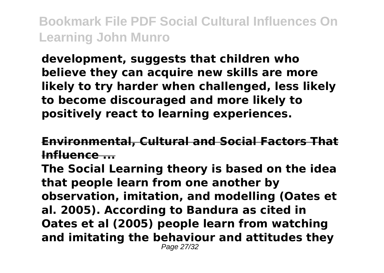**development, suggests that children who believe they can acquire new skills are more likely to try harder when challenged, less likely to become discouraged and more likely to positively react to learning experiences.**

### **Environmental, Cultural and Social Factors That Influence ...**

**The Social Learning theory is based on the idea that people learn from one another by observation, imitation, and modelling (Oates et al. 2005). According to Bandura as cited in Oates et al (2005) people learn from watching and imitating the behaviour and attitudes they** Page 27/32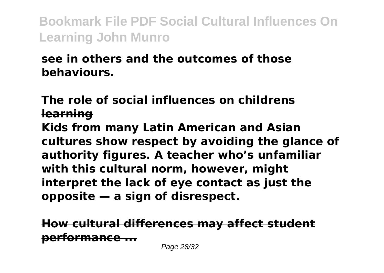# **see in others and the outcomes of those behaviours.**

**The role of social influences on childrens learning**

**Kids from many Latin American and Asian cultures show respect by avoiding the glance of authority figures. A teacher who's unfamiliar with this cultural norm, however, might interpret the lack of eye contact as just the opposite — a sign of disrespect.**

**How cultural differences may affect student performance ...**

Page 28/32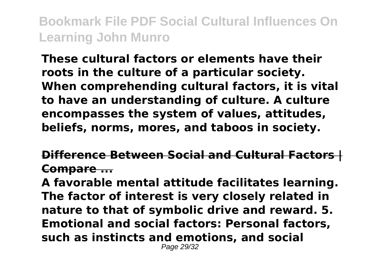**These cultural factors or elements have their roots in the culture of a particular society. When comprehending cultural factors, it is vital to have an understanding of culture. A culture encompasses the system of values, attitudes, beliefs, norms, mores, and taboos in society.**

**Difference Between Social and Cultural Factors | Compare ...**

**A favorable mental attitude facilitates learning. The factor of interest is very closely related in nature to that of symbolic drive and reward. 5. Emotional and social factors: Personal factors, such as instincts and emotions, and social** Page 29/32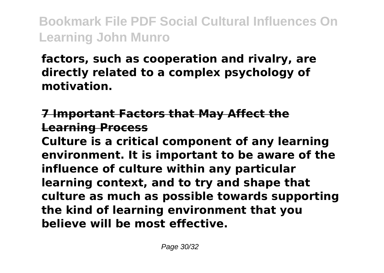**factors, such as cooperation and rivalry, are directly related to a complex psychology of motivation.**

### **7 Important Factors that May Affect the Learning Process**

**Culture is a critical component of any learning environment. It is important to be aware of the influence of culture within any particular learning context, and to try and shape that culture as much as possible towards supporting the kind of learning environment that you believe will be most effective.**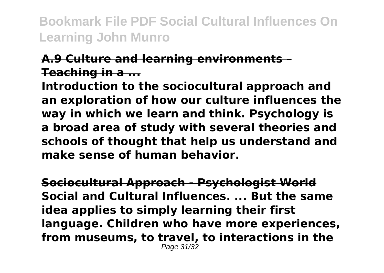### **A.9 Culture and learning environments – Teaching in a ...**

**Introduction to the sociocultural approach and an exploration of how our culture influences the way in which we learn and think. Psychology is a broad area of study with several theories and schools of thought that help us understand and make sense of human behavior.**

**Sociocultural Approach - Psychologist World Social and Cultural Influences. ... But the same idea applies to simply learning their first language. Children who have more experiences, from museums, to travel, to interactions in the** Page 31/32